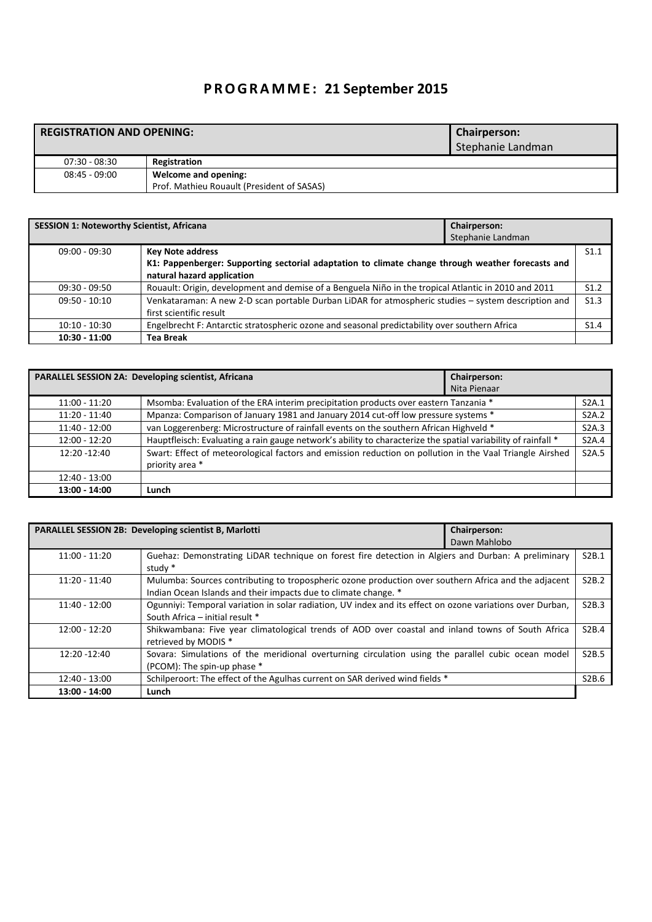## **P R O G R A M M E : 21 September 2015**

## **REGISTRATION AND OPENING: Chairperson: Chairperson:**

|                 |                                            | Stephanie Landman |
|-----------------|--------------------------------------------|-------------------|
| 07:30 - 08:30   | Registration                               |                   |
| $08:45 - 09:00$ | Welcome and opening:                       |                   |
|                 | Prof. Mathieu Rouault (President of SASAS) |                   |

| <b>SESSION 1: Noteworthy Scientist, Africana</b> |                                                                                                      | <b>Chairperson:</b><br>Stephanie Landman |      |
|--------------------------------------------------|------------------------------------------------------------------------------------------------------|------------------------------------------|------|
| $09:00 - 09:30$                                  | <b>Key Note address</b>                                                                              |                                          | S1.1 |
|                                                  | K1: Pappenberger: Supporting sectorial adaptation to climate change through weather forecasts and    |                                          |      |
|                                                  | natural hazard application                                                                           |                                          |      |
| 09:30 - 09:50                                    | Rouault: Origin, development and demise of a Benguela Niño in the tropical Atlantic in 2010 and 2011 |                                          | S1.2 |
| $09:50 - 10:10$                                  | Venkataraman: A new 2-D scan portable Durban LiDAR for atmospheric studies - system description and  |                                          | S1.3 |
|                                                  | first scientific result                                                                              |                                          |      |
| $10:10 - 10:30$                                  | Engelbrecht F: Antarctic stratospheric ozone and seasonal predictability over southern Africa        |                                          | S1.4 |
| $10:30 - 11:00$                                  | <b>Tea Break</b>                                                                                     |                                          |      |

|                 | PARALLEL SESSION 2A: Developing scientist, Africana                                                           | Chairperson: |                    |
|-----------------|---------------------------------------------------------------------------------------------------------------|--------------|--------------------|
|                 |                                                                                                               | Nita Pienaar |                    |
| $11:00 - 11:20$ | Msomba: Evaluation of the ERA interim precipitation products over eastern Tanzania *                          |              | S <sub>2</sub> A.1 |
| $11:20 - 11:40$ | Mpanza: Comparison of January 1981 and January 2014 cut-off low pressure systems *                            |              | <b>S2A.2</b>       |
| $11:40 - 12:00$ | van Loggerenberg: Microstructure of rainfall events on the southern African Highveld *                        |              | S2A.3              |
| $12:00 - 12:20$ | Hauptfleisch: Evaluating a rain gauge network's ability to characterize the spatial variability of rainfall * |              | <b>S2A.4</b>       |
| 12:20 -12:40    | Swart: Effect of meteorological factors and emission reduction on pollution in the Vaal Triangle Airshed      |              | S <sub>2</sub> A.5 |
|                 | priority area *                                                                                               |              |                    |
| $12:40 - 13:00$ |                                                                                                               |              |                    |
| $13:00 - 14:00$ | Lunch                                                                                                         |              |                    |

|                 | PARALLEL SESSION 2B: Developing scientist B, Marlotti                                                                                                                   | Chairperson: |                    |
|-----------------|-------------------------------------------------------------------------------------------------------------------------------------------------------------------------|--------------|--------------------|
|                 |                                                                                                                                                                         | Dawn Mahlobo |                    |
| $11:00 - 11:20$ | Guehaz: Demonstrating LiDAR technique on forest fire detection in Algiers and Durban: A preliminary<br>study *                                                          |              | S2B.1              |
| $11:20 - 11:40$ | Mulumba: Sources contributing to tropospheric ozone production over southern Africa and the adjacent<br>Indian Ocean Islands and their impacts due to climate change. * |              | S <sub>2</sub> B.2 |
| $11:40 - 12:00$ | Ogunniyi: Temporal variation in solar radiation, UV index and its effect on ozone variations over Durban,<br>South Africa - initial result *                            |              | S2B.3              |
| $12:00 - 12:20$ | Shikwambana: Five year climatological trends of AOD over coastal and inland towns of South Africa<br>retrieved by MODIS *                                               |              | S2B.4              |
| $12:20 - 12:40$ | Sovara: Simulations of the meridional overturning circulation using the parallel cubic ocean model<br>(PCOM): The spin-up phase *                                       |              | S <sub>2</sub> B.5 |
| 12:40 - 13:00   | Schilperoort: The effect of the Agulhas current on SAR derived wind fields *                                                                                            |              | S2B.6              |
| 13:00 - 14:00   | Lunch                                                                                                                                                                   |              |                    |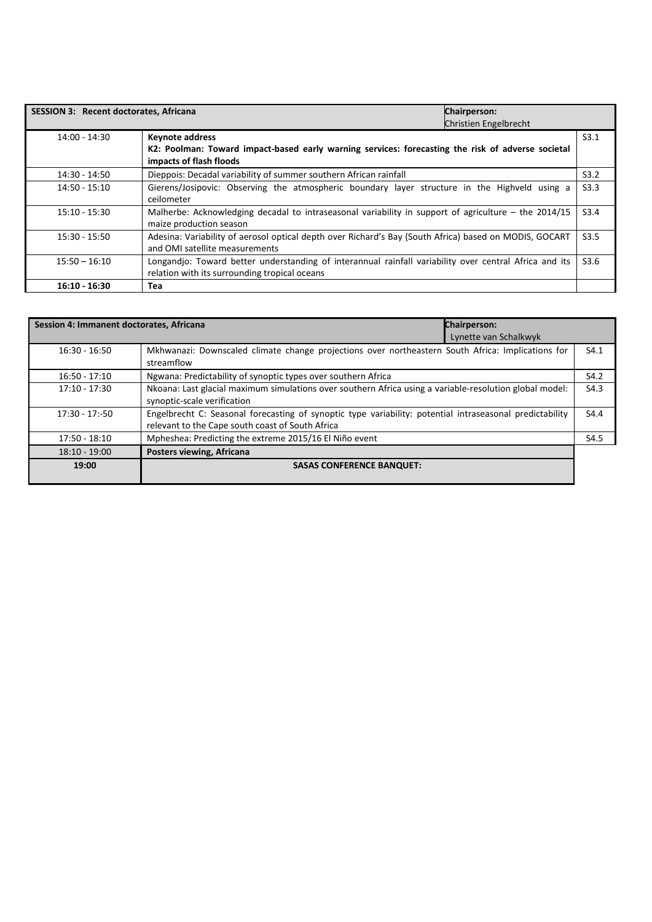| <b>SESSION 3: Recent doctorates, Africana</b> | Chairperson:<br>Christien Engelbrecht                                                                                                                   |      |
|-----------------------------------------------|---------------------------------------------------------------------------------------------------------------------------------------------------------|------|
| 14:00 - 14:30                                 | <b>Keynote address</b><br>K2: Poolman: Toward impact-based early warning services: forecasting the risk of adverse societal<br>impacts of flash floods  | S3.1 |
| 14:30 - 14:50                                 | Dieppois: Decadal variability of summer southern African rainfall                                                                                       | S3.2 |
| 14:50 - 15:10                                 | Gierens/Josipovic: Observing the atmospheric boundary layer structure in the Highveld using a<br>ceilometer                                             | S3.3 |
| 15:10 - 15:30                                 | Malherbe: Acknowledging decadal to intraseasonal variability in support of agriculture – the 2014/15<br>maize production season                         | S3.4 |
| 15:30 - 15:50                                 | Adesina: Variability of aerosol optical depth over Richard's Bay (South Africa) based on MODIS, GOCART<br>and OMI satellite measurements                | S3.5 |
| $15:50 - 16:10$                               | Longandjo: Toward better understanding of interannual rainfall variability over central Africa and its<br>relation with its surrounding tropical oceans | S3.6 |
| $16:10 - 16:30$                               | Tea                                                                                                                                                     |      |

| Session 4: Immanent doctorates, Africana | <b>Chairperson:</b><br>Lynette van Schalkwyk                                                                                                                 |      |
|------------------------------------------|--------------------------------------------------------------------------------------------------------------------------------------------------------------|------|
| $16:30 - 16:50$                          | Mkhwanazi: Downscaled climate change projections over northeastern South Africa: Implications for<br>streamflow                                              | S4.1 |
| $16:50 - 17:10$                          | Ngwana: Predictability of synoptic types over southern Africa                                                                                                | S4.2 |
| $17:10 - 17:30$                          | Nkoana: Last glacial maximum simulations over southern Africa using a variable-resolution global model:<br>synoptic-scale verification                       | S4.3 |
| $17:30 - 17:-50$                         | Engelbrecht C: Seasonal forecasting of synoptic type variability: potential intraseasonal predictability<br>relevant to the Cape south coast of South Africa | S4.4 |
| 17:50 - 18:10                            | Mpheshea: Predicting the extreme 2015/16 El Niño event                                                                                                       | S4.5 |
| $18:10 - 19:00$                          | Posters viewing, Africana                                                                                                                                    |      |
| 19:00                                    | <b>SASAS CONFERENCE BANQUET:</b>                                                                                                                             |      |